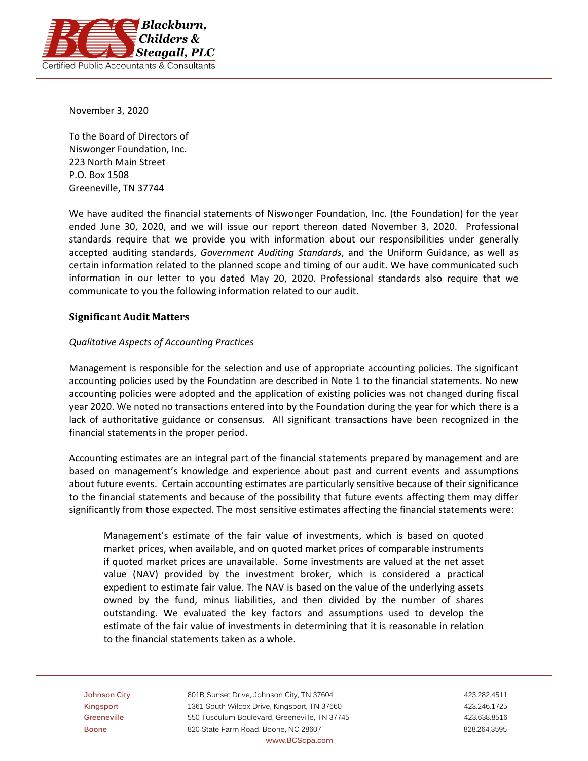

November 3, 2020

To the Board of Directors of Niswonger Foundation, Inc. 223 North Main Street P.O. Box 1508 Greeneville, TN 37744

We have audited the financial statements of Niswonger Foundation, Inc. (the Foundation) for the year ended June 30, 2020, and we will issue our report thereon dated November 3, 2020. Professional standards require that we provide you with information about our responsibilities under generally accepted auditing standards, *Government Auditing Standards*, and the Uniform Guidance, as well as certain information related to the planned scope and timing of our audit. We have communicated such information in our letter to you dated May 20, 2020. Professional standards also require that we communicate to you the following information related to our audit.

# **Significant Audit Matters**

## *Qualitative Aspects of Accounting Practices*

Management is responsible for the selection and use of appropriate accounting policies. The significant accounting policies used by the Foundation are described in Note 1 to the financial statements. No new accounting policies were adopted and the application of existing policies was not changed during fiscal year 2020. We noted no transactions entered into by the Foundation during the year for which there is a lack of authoritative guidance or consensus. All significant transactions have been recognized in the financial statements in the proper period.

Accounting estimates are an integral part of the financial statements prepared by management and are based on management's knowledge and experience about past and current events and assumptions about future events. Certain accounting estimates are particularly sensitive because of their significance to the financial statements and because of the possibility that future events affecting them may differ significantly from those expected. The most sensitive estimates affecting the financial statements were:

Management's estimate of the fair value of investments, which is based on quoted market prices, when available, and on quoted market prices of comparable instruments if quoted market prices are unavailable. Some investments are valued at the net asset value (NAV) provided by the investment broker, which is considered a practical expedient to estimate fair value. The NAV is based on the value of the underlying assets owned by the fund, minus liabilities, and then divided by the number of shares outstanding. We evaluated the key factors and assumptions used to develop the estimate of the fair value of investments in determining that it is reasonable in relation to the financial statements taken as a whole.

**Johnson City** 801B Sunset Drive, Johnson City, TN 37604 423.282.4511 Kingsport **1361 South Wilcox Drive, Kingsport, TN 37660** 423.246.1725 **Greeneville** 550 Tusculum Boulevard, Greeneville, TN 37745 423.638.8516 **Boone** 820 State Farm Road, Boone, NC 28607 828.264.3595 828.264.3595 **www.BCScpa.com**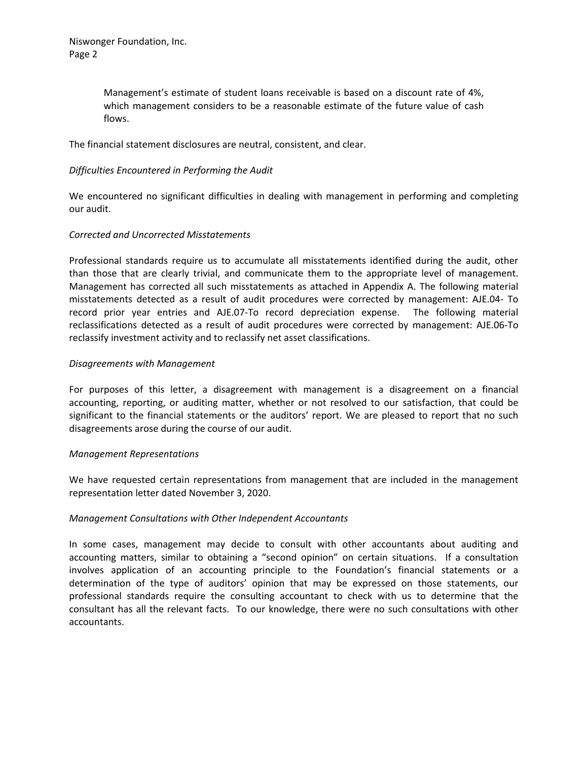Management's estimate of student loans receivable is based on a discount rate of 4%, which management considers to be a reasonable estimate of the future value of cash flows.

The financial statement disclosures are neutral, consistent, and clear.

# *Difficulties Encountered in Performing the Audit*

We encountered no significant difficulties in dealing with management in performing and completing our audit.

## *Corrected and Uncorrected Misstatements*

Professional standards require us to accumulate all misstatements identified during the audit, other than those that are clearly trivial, and communicate them to the appropriate level of management. Management has corrected all such misstatements as attached in Appendix A. The following material misstatements detected as a result of audit procedures were corrected by management: AJE.04‐ To record prior year entries and AJE.07‐To record depreciation expense. The following material reclassifications detected as a result of audit procedures were corrected by management: AJE.06‐To reclassify investment activity and to reclassify net asset classifications.

### *Disagreements with Management*

For purposes of this letter, a disagreement with management is a disagreement on a financial accounting, reporting, or auditing matter, whether or not resolved to our satisfaction, that could be significant to the financial statements or the auditors' report. We are pleased to report that no such disagreements arose during the course of our audit.

#### *Management Representations*

We have requested certain representations from management that are included in the management representation letter dated November 3, 2020.

## *Management Consultations with Other Independent Accountants*

In some cases, management may decide to consult with other accountants about auditing and accounting matters, similar to obtaining a "second opinion" on certain situations. If a consultation involves application of an accounting principle to the Foundation's financial statements or a determination of the type of auditors' opinion that may be expressed on those statements, our professional standards require the consulting accountant to check with us to determine that the consultant has all the relevant facts. To our knowledge, there were no such consultations with other accountants.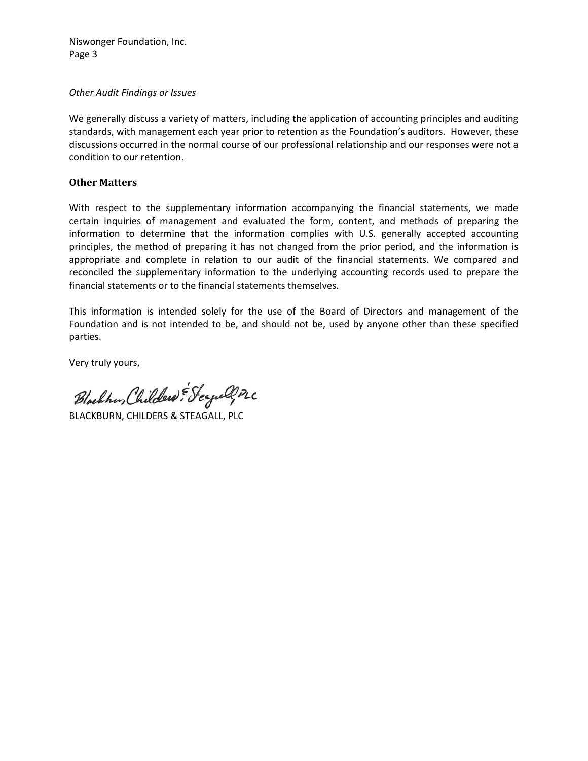Niswonger Foundation, Inc. Page 3

#### *Other Audit Findings or Issues*

We generally discuss a variety of matters, including the application of accounting principles and auditing standards, with management each year prior to retention as the Foundation's auditors. However, these discussions occurred in the normal course of our professional relationship and our responses were not a condition to our retention.

# **Other Matters**

With respect to the supplementary information accompanying the financial statements, we made certain inquiries of management and evaluated the form, content, and methods of preparing the information to determine that the information complies with U.S. generally accepted accounting principles, the method of preparing it has not changed from the prior period, and the information is appropriate and complete in relation to our audit of the financial statements. We compared and reconciled the supplementary information to the underlying accounting records used to prepare the financial statements or to the financial statements themselves.

This information is intended solely for the use of the Board of Directors and management of the Foundation and is not intended to be, and should not be, used by anyone other than these specified parties.

Very truly yours,

Blackhan, Childers: Seyall, PLC

BLACKBURN, CHILDERS & STEAGALL, PLC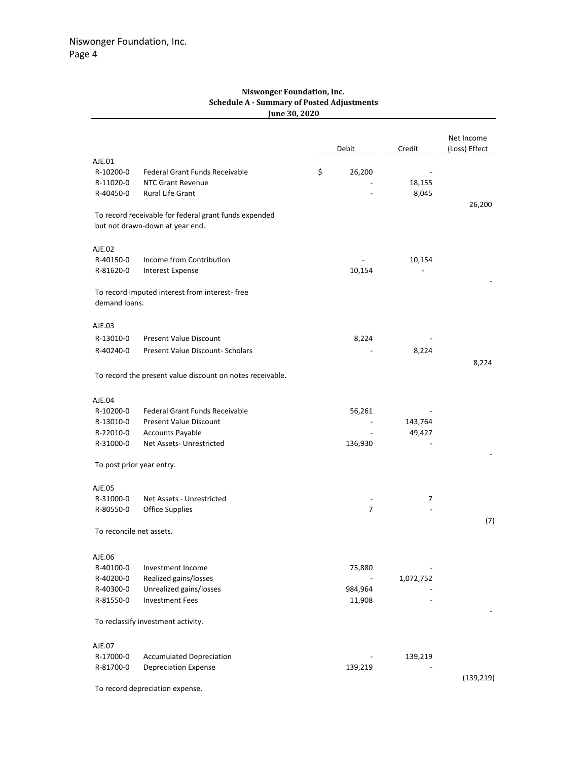#### **Niswonger Foundation, Inc. Schedule A ‐ Summary of Posted Adjustments June 30, 2020**

|                          |                                                                                          | Debit             | Credit    | Net Income<br>(Loss) Effect |
|--------------------------|------------------------------------------------------------------------------------------|-------------------|-----------|-----------------------------|
| AJE.01                   |                                                                                          |                   |           |                             |
| R-10200-0<br>R-11020-0   | Federal Grant Funds Receivable<br><b>NTC Grant Revenue</b>                               | \$<br>26,200      | 18,155    |                             |
| R-40450-0                | Rural Life Grant                                                                         |                   | 8,045     |                             |
|                          |                                                                                          |                   |           | 26,200                      |
|                          | To record receivable for federal grant funds expended<br>but not drawn-down at year end. |                   |           |                             |
| AJE.02                   |                                                                                          |                   |           |                             |
| R-40150-0                | Income from Contribution                                                                 |                   | 10,154    |                             |
| R-81620-0                | Interest Expense                                                                         | 10,154            |           |                             |
| demand loans.            | To record imputed interest from interest-free                                            |                   |           |                             |
| AJE.03                   |                                                                                          |                   |           |                             |
| R-13010-0                | <b>Present Value Discount</b>                                                            | 8,224             |           |                             |
| R-40240-0                | Present Value Discount- Scholars                                                         |                   | 8,224     |                             |
|                          |                                                                                          |                   |           | 8,224                       |
|                          | To record the present value discount on notes receivable.                                |                   |           |                             |
| AJE.04                   |                                                                                          |                   |           |                             |
| R-10200-0                | Federal Grant Funds Receivable                                                           | 56,261            |           |                             |
| R-13010-0                | <b>Present Value Discount</b>                                                            |                   | 143,764   |                             |
| R-22010-0                | <b>Accounts Payable</b>                                                                  |                   | 49,427    |                             |
| R-31000-0                | Net Assets- Unrestricted                                                                 | 136,930           |           |                             |
|                          | To post prior year entry.                                                                |                   |           |                             |
| AJE.05                   |                                                                                          |                   |           |                             |
| R-31000-0                | Net Assets - Unrestricted                                                                |                   | 7         |                             |
| R-80550-0                | <b>Office Supplies</b>                                                                   | 7                 |           |                             |
| To reconcile net assets. |                                                                                          |                   |           | (7)                         |
|                          |                                                                                          |                   |           |                             |
| AJE.06                   |                                                                                          |                   |           |                             |
| R-40100-0                | Investment Income                                                                        | 75,880            |           |                             |
| R-40200-0                | Realized gains/losses                                                                    |                   | 1,072,752 |                             |
| R-40300-0<br>R-81550-0   | Unrealized gains/losses<br><b>Investment Fees</b>                                        | 984,964<br>11,908 |           |                             |
|                          |                                                                                          |                   |           |                             |
|                          | To reclassify investment activity.                                                       |                   |           |                             |
| AJE.07                   |                                                                                          |                   |           |                             |
| R-17000-0                | <b>Accumulated Depreciation</b>                                                          |                   | 139,219   |                             |
| R-81700-0                | <b>Depreciation Expense</b>                                                              | 139,219           |           |                             |
|                          | To record depreciation expense.                                                          |                   |           | (139, 219)                  |
|                          |                                                                                          |                   |           |                             |